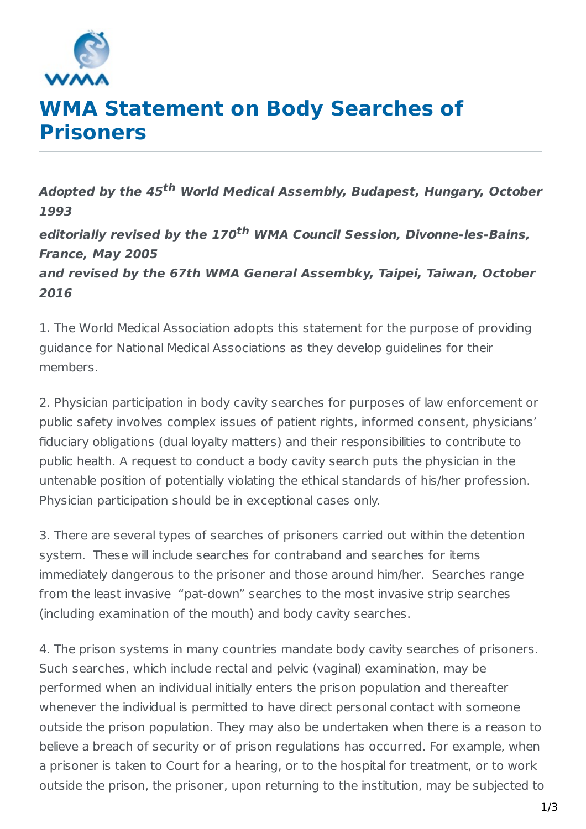

## **WMA Statement on Body Searches of Prisoners**

**Adopted by the 45 th World Medical Assembly, Budapest, Hungary, October 1993 editorially revised by the 170 th WMA Council Session, Divonne-les-Bains, France, May 2005 and revised by the 67th WMA General Assembky, Taipei, Taiwan, October 2016**

1. The World Medical Association adopts this statement for the purpose of providing guidance for National Medical Associations as they develop guidelines for their members.

2. Physician participation in body cavity searches for purposes of law enforcement or public safety involves complex issues of patient rights, informed consent, physicians' fiduciary obligations (dual loyalty matters) and their responsibilities to contribute to public health. A request to conduct a body cavity search puts the physician in the untenable position of potentially violating the ethical standards of his/her profession. Physician participation should be in exceptional cases only.

3. There are several types of searches of prisoners carried out within the detention system. These will include searches for contraband and searches for items immediately dangerous to the prisoner and those around him/her. Searches range from the least invasive "pat-down" searches to the most invasive strip searches (including examination of the mouth) and body cavity searches.

4. The prison systems in many countries mandate body cavity searches of prisoners. Such searches, which include rectal and pelvic (vaginal) examination, may be performed when an individual initially enters the prison population and thereafter whenever the individual is permitted to have direct personal contact with someone outside the prison population. They may also be undertaken when there is a reason to believe a breach of security or of prison regulations has occurred. For example, when a prisoner is taken to Court for a hearing, or to the hospital for treatment, or to work outside the prison, the prisoner, upon returning to the institution, may be subjected to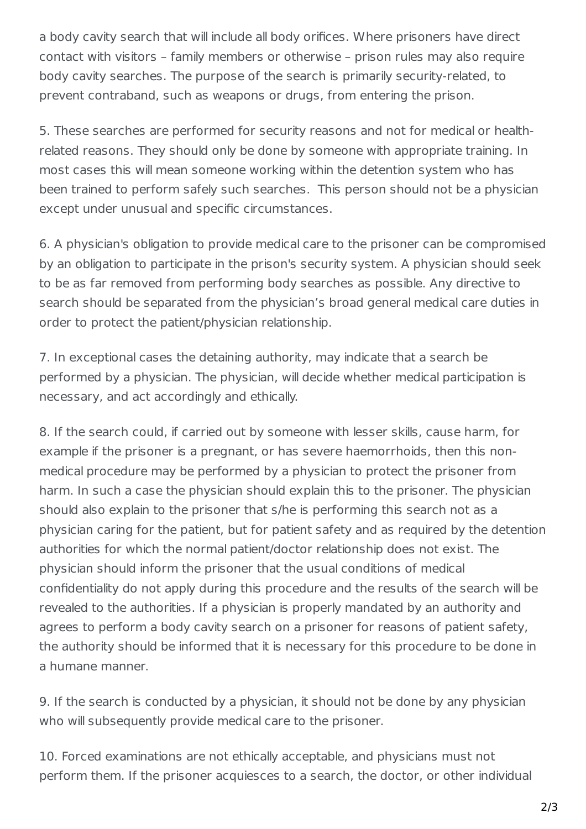a body cavity search that will include all body orifices. Where prisoners have direct contact with visitors – family members or otherwise – prison rules may also require body cavity searches. The purpose of the search is primarily security-related, to prevent contraband, such as weapons or drugs, from entering the prison.

5. These searches are performed for security reasons and not for medical or healthrelated reasons. They should only be done by someone with appropriate training. In most cases this will mean someone working within the detention system who has been trained to perform safely such searches. This person should not be a physician except under unusual and specific circumstances.

6. A physician's obligation to provide medical care to the prisoner can be compromised by an obligation to participate in the prison's security system. A physician should seek to be as far removed from performing body searches as possible. Any directive to search should be separated from the physician's broad general medical care duties in order to protect the patient/physician relationship.

7. In exceptional cases the detaining authority, may indicate that a search be performed by a physician. The physician, will decide whether medical participation is necessary, and act accordingly and ethically.

8. If the search could, if carried out by someone with lesser skills, cause harm, for example if the prisoner is a pregnant, or has severe haemorrhoids, then this nonmedical procedure may be performed by a physician to protect the prisoner from harm. In such a case the physician should explain this to the prisoner. The physician should also explain to the prisoner that s/he is performing this search not as a physician caring for the patient, but for patient safety and as required by the detention authorities for which the normal patient/doctor relationship does not exist. The physician should inform the prisoner that the usual conditions of medical confidentiality do not apply during this procedure and the results of the search will be revealed to the authorities. If a physician is properly mandated by an authority and agrees to perform a body cavity search on a prisoner for reasons of patient safety, the authority should be informed that it is necessary for this procedure to be done in a humane manner.

9. If the search is conducted by a physician, it should not be done by any physician who will subsequently provide medical care to the prisoner.

10. Forced examinations are not ethically acceptable, and physicians must not perform them. If the prisoner acquiesces to a search, the doctor, or other individual